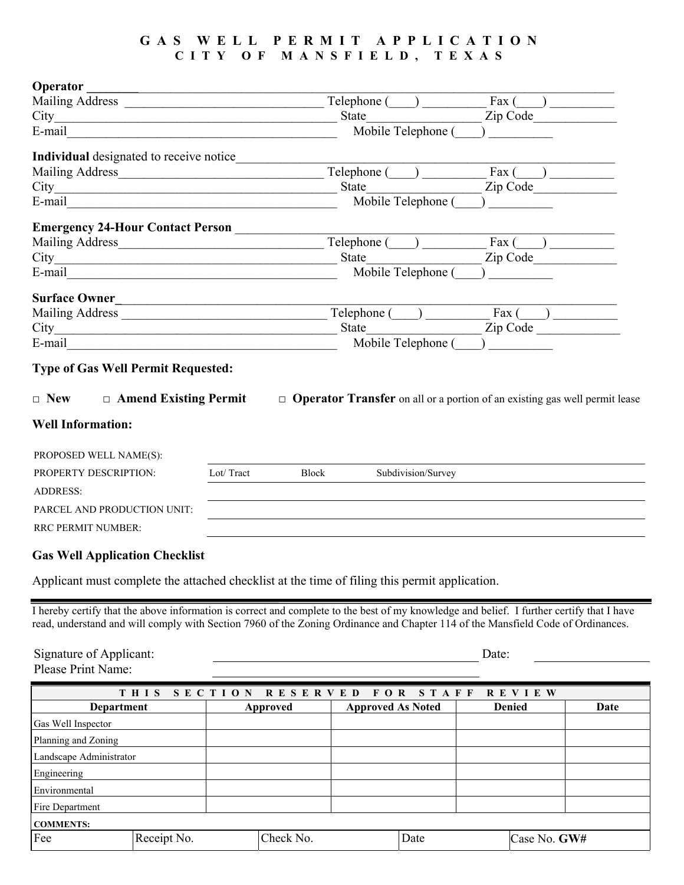## **GAS WELL PERMIT APPLICATION CITY O F MANSFIELD, TEXAS**

| Operator                                                                                                       |                                                                                                                      |                                                                 |  |                    |         |                                                                                          |  |  |  |
|----------------------------------------------------------------------------------------------------------------|----------------------------------------------------------------------------------------------------------------------|-----------------------------------------------------------------|--|--------------------|---------|------------------------------------------------------------------------------------------|--|--|--|
|                                                                                                                |                                                                                                                      | $Telephone (\underline{\hspace{1cm}})$                          |  |                    |         | $\text{Fax}$ ( )                                                                         |  |  |  |
|                                                                                                                |                                                                                                                      | State                                                           |  |                    |         | Zip Code                                                                                 |  |  |  |
| E-mail                                                                                                         | Mobile Telephone (                                                                                                   |                                                                 |  |                    |         |                                                                                          |  |  |  |
| Individual designated to receive notice_                                                                       |                                                                                                                      |                                                                 |  |                    |         |                                                                                          |  |  |  |
|                                                                                                                |                                                                                                                      | Telephone ()                                                    |  |                    | Fax $($ |                                                                                          |  |  |  |
|                                                                                                                |                                                                                                                      | <b>State</b>                                                    |  |                    |         | Zip Code No.                                                                             |  |  |  |
| E-mail 2008 2008 2010 2021 2022 2023 2024 2022 2022 2023 2024 2022 2023 2024 2022 2023 2024 2022 2023 2024 202 |                                                                                                                      | Mobile Telephone (                                              |  |                    |         |                                                                                          |  |  |  |
| Emergency 24-Hour Contact Person                                                                               |                                                                                                                      |                                                                 |  |                    |         |                                                                                          |  |  |  |
|                                                                                                                |                                                                                                                      | $Telephone (\underline{\hspace{1cm}}) \underline{\hspace{1cm}}$ |  |                    |         | $\text{Fax}$ ( )                                                                         |  |  |  |
|                                                                                                                |                                                                                                                      | <b>State</b>                                                    |  |                    |         | Zip Code                                                                                 |  |  |  |
| E-mail                                                                                                         | Mobile Telephone (                                                                                                   |                                                                 |  |                    |         |                                                                                          |  |  |  |
| <b>Surface Owner</b>                                                                                           | <u> 1989 - Jan Berlin, margaret amerikan bizi dago da barat da barat da barat da barat da barat da barat da bara</u> |                                                                 |  |                    |         |                                                                                          |  |  |  |
|                                                                                                                |                                                                                                                      | Telephone ()                                                    |  |                    |         | $\text{Fax}$ ( )                                                                         |  |  |  |
|                                                                                                                |                                                                                                                      | State                                                           |  |                    |         | Zip Code                                                                                 |  |  |  |
| E-mail                                                                                                         | Mobile Telephone (                                                                                                   |                                                                 |  |                    |         |                                                                                          |  |  |  |
| <b>Type of Gas Well Permit Requested:</b>                                                                      |                                                                                                                      |                                                                 |  |                    |         |                                                                                          |  |  |  |
| $\Box$ Amend Existing Permit<br>$\Box$ New                                                                     |                                                                                                                      |                                                                 |  |                    |         | $\Box$ <b>Operator Transfer</b> on all or a portion of an existing gas well permit lease |  |  |  |
| <b>Well Information:</b>                                                                                       |                                                                                                                      |                                                                 |  |                    |         |                                                                                          |  |  |  |
| PROPOSED WELL NAME(S):                                                                                         |                                                                                                                      |                                                                 |  |                    |         |                                                                                          |  |  |  |
|                                                                                                                | Lot/Tract                                                                                                            | <b>Block</b>                                                    |  | Subdivision/Survey |         |                                                                                          |  |  |  |
| PROPERTY DESCRIPTION:                                                                                          |                                                                                                                      |                                                                 |  |                    |         |                                                                                          |  |  |  |
| <b>ADDRESS:</b>                                                                                                |                                                                                                                      |                                                                 |  |                    |         |                                                                                          |  |  |  |
| PARCEL AND PRODUCTION UNIT:                                                                                    |                                                                                                                      |                                                                 |  |                    |         |                                                                                          |  |  |  |
| <b>RRC PERMIT NUMBER:</b>                                                                                      |                                                                                                                      |                                                                 |  |                    |         |                                                                                          |  |  |  |
|                                                                                                                |                                                                                                                      |                                                                 |  |                    |         |                                                                                          |  |  |  |

## **Gas Well Application Checklist**

Applicant must complete the attached checklist at the time of filing this permit application.

I hereby certify that the above information is correct and complete to the best of my knowledge and belief. I further certify that I have read, understand and will comply with Section 7960 of the Zoning Ordinance and Chapter 114 of the Mansfield Code of Ordinances.

Signature of Applicant:  $\qquad \qquad$  Date: Please Print Name:

| THIS SECTION RESERVED FOR STAFF REVIEW |             |          |           |                          |      |               |              |      |  |  |  |
|----------------------------------------|-------------|----------|-----------|--------------------------|------|---------------|--------------|------|--|--|--|
| <b>Department</b>                      |             | Approved |           | <b>Approved As Noted</b> |      | <b>Denied</b> |              | Date |  |  |  |
| Gas Well Inspector                     |             |          |           |                          |      |               |              |      |  |  |  |
| Planning and Zoning                    |             |          |           |                          |      |               |              |      |  |  |  |
| Landscape Administrator                |             |          |           |                          |      |               |              |      |  |  |  |
| Engineering                            |             |          |           |                          |      |               |              |      |  |  |  |
| Environmental                          |             |          |           |                          |      |               |              |      |  |  |  |
| Fire Department                        |             |          |           |                          |      |               |              |      |  |  |  |
| <b>COMMENTS:</b>                       |             |          |           |                          |      |               |              |      |  |  |  |
| Fee                                    | Receipt No. |          | Check No. |                          | Date |               | Case No. GW# |      |  |  |  |